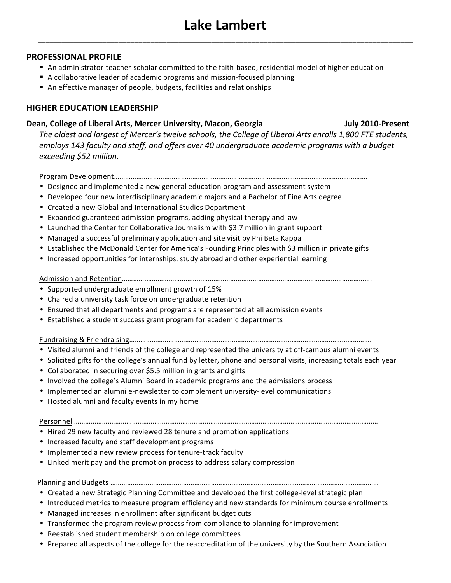### **PROFESSIONAL PROFILE**

- An administrator-teacher-scholar committed to the faith-based, residential model of higher education
- A collaborative leader of academic programs and mission-focused planning
- An effective manager of people, budgets, facilities and relationships

## **HIGHER EDUCATION LEADERSHIP**

## **Dean, College of Liberal Arts, Mercer University, Macon, Georgia State and Margin College of Liberal Arts, Mercer University, Macon, Georgia**

The oldest and largest of Mercer's twelve schools, the College of Liberal Arts enrolls 1,800 FTE students, employs 143 faculty and staff, and offers over 40 undergraduate academic programs with a budget *exceeding \$52 million.*

#### Program Development……………………………………………………………………………………………………………………….

- Designed and implemented a new general education program and assessment system
- Developed four new interdisciplinary academic majors and a Bachelor of Fine Arts degree
- Created a new Global and International Studies Department
- Expanded guaranteed admission programs, adding physical therapy and law
- Launched the Center for Collaborative Journalism with \$3.7 million in grant support
- Managed a successful preliminary application and site visit by Phi Beta Kappa
- Established the McDonald Center for America's Founding Principles with \$3 million in private gifts
- Increased opportunities for internships, study abroad and other experiential learning

#### Admission and Retention………….………………………………………………………………………………………………………….

- Supported undergraduate enrollment growth of 15%
- Chaired a university task force on undergraduate retention
- Ensured that all departments and programs are represented at all admission events
- Established a student success grant program for academic departments

#### Fundraising & Friendraising………………………………………………………………………………………………………………….

- Visited alumni and friends of the college and represented the university at off-campus alumni events
- Solicited gifts for the college's annual fund by letter, phone and personal visits, increasing totals each year
- Collaborated in securing over \$5.5 million in grants and gifts
- Involved the college's Alumni Board in academic programs and the admissions process
- Implemented an alumni e-newsletter to complement university-level communications
- Hosted alumni and faculty events in my home

#### Personnel ……………….………………………………………………………………………………………………………………………………

- Hired 29 new faculty and reviewed 28 tenure and promotion applications
- Increased faculty and staff development programs
- Implemented a new review process for tenure-track faculty
- Linked merit pay and the promotion process to address salary compression

## Planning and Budgets ………………………………………………………………………………………………………………………………

- Created a new Strategic Planning Committee and developed the first college-level strategic plan
- Introduced metrics to measure program efficiency and new standards for minimum course enrollments
- Managed increases in enrollment after significant budget cuts
- Transformed the program review process from compliance to planning for improvement
- Reestablished student membership on college committees
- Prepared all aspects of the college for the reaccreditation of the university by the Southern Association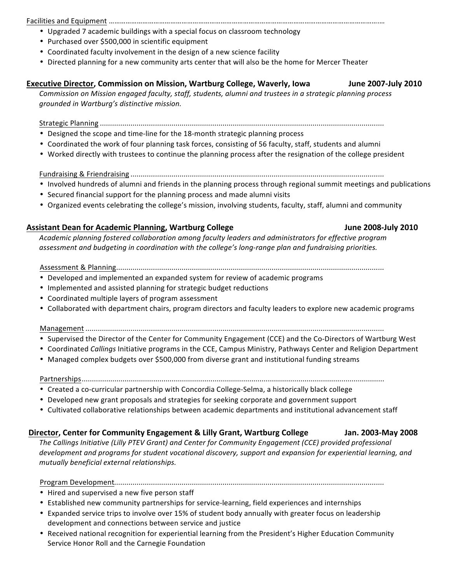# Facilities and Equipment ……………………………………………………………………………………………………………………………….…

- Upgraded 7 academic buildings with a special focus on classroom technology
- Purchased over \$500,000 in scientific equipment
- Coordinated faculty involvement in the design of a new science facility
- Directed planning for a new community arts center that will also be the home for Mercer Theater

## **Executive Director, Commission on Mission, Wartburg College, Waverly, Iowa June 2007-July 2010**

*Commission on Mission engaged faculty, staff, students, alumni and trustees in a strategic planning process* grounded in Wartburg's distinctive mission.

 Strategic Planning *...........................................................................................................................................*

- Designed the scope and time-line for the 18-month strategic planning process
- Coordinated the work of four planning task forces, consisting of 56 faculty, staff, students and alumni
- Worked directly with trustees to continue the planning process after the resignation of the college president

 Fundraising & Friendraising *............................................................................................................................*

- Involved hundreds of alumni and friends in the planning process through regional summit meetings and publications
- Secured financial support for the planning process and made alumni visits
- Organized events celebrating the college's mission, involving students, faculty, staff, alumni and community

### **Assistant Dean for Academic Planning, Wartburg College June 2008-July 2010**

#### Academic planning fostered collaboration among faculty leaders and administrators for effective program assessment and budgeting in coordination with the college's long-range plan and fundraising priorities.

#### Assessment & Planning*...................................................................................................................................*

- Developed and implemented an expanded system for review of academic programs
- Implemented and assisted planning for strategic budget reductions
- Coordinated multiple layers of program assessment
- Collaborated with department chairs, program directors and faculty leaders to explore new academic programs

Management *..................................................................................................................................................*

- Supervised the Director of the Center for Community Engagement (CCE) and the Co-Directors of Wartburg West
- Coordinated *Callings* Initiative programs in the CCE, Campus Ministry, Pathways Center and Religion Department
- Managed complex budgets over \$500,000 from diverse grant and institutional funding streams

Partnerships....................................................................................................................................................

- Created a co-curricular partnership with Concordia College-Selma, a historically black college
- Developed new grant proposals and strategies for seeking corporate and government support
- Cultivated collaborative relationships between academic departments and institutional advancement staff

### **Director, Center for Community Engagement & Lilly Grant, Wartburg College Jan. 2003-May 2008**

*The Callings Initiative (Lilly PTEV Grant) and Center for Community Engagement (CCE) provided professional*  development and programs for student vocational discovery, support and expansion for experiential learning, and *mutually beneficial external relationships.*

### Program Development*....................................................................................................................................*

- Hired and supervised a new five person staff
- Established new community partnerships for service-learning, field experiences and internships
- Expanded service trips to involve over 15% of student body annually with greater focus on leadership development and connections between service and justice
- Received national recognition for experiential learning from the President's Higher Education Community Service Honor Roll and the Carnegie Foundation